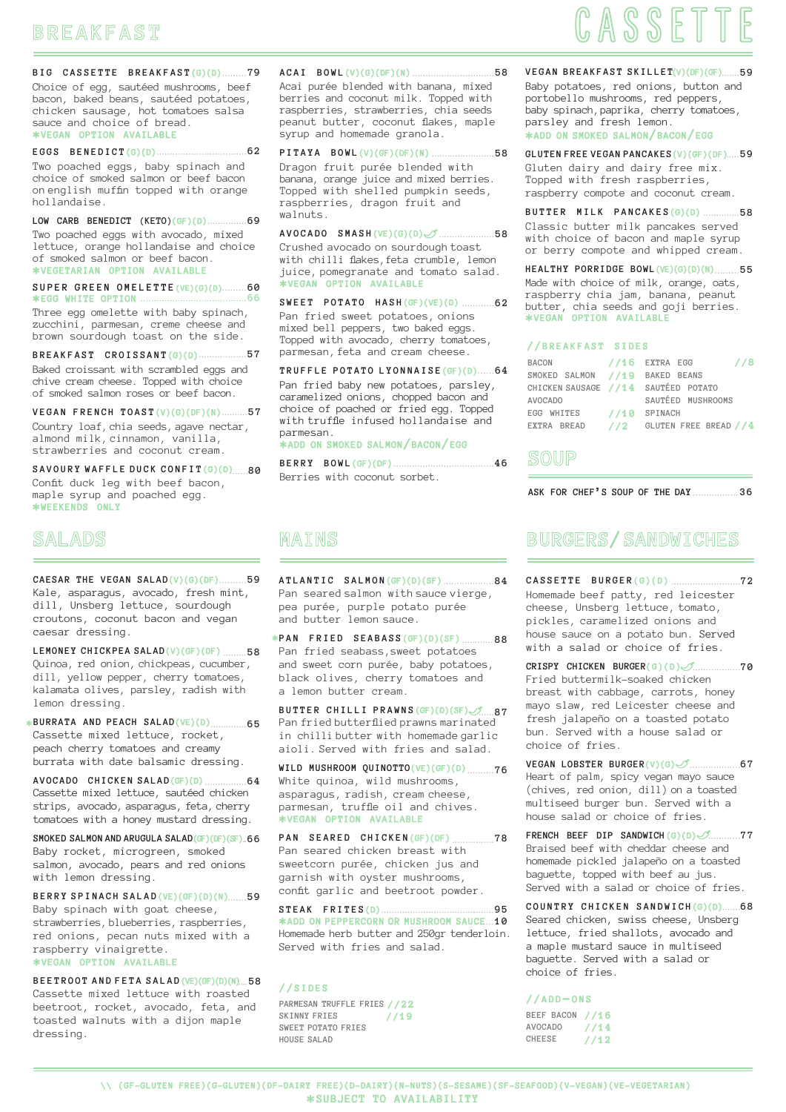## **BREAKFAST**

**(D)(G (t s a f k a e r b e t t e s s a c g i b 79** Choice of egg, sautéed mushrooms, beef bacon, baked beans, sautéed potatoes, chicken sausage, hot tomatoes salsa sauce and choice of bread. **\*VEGAN OPTION AVAILABLE** 

**(D)(G (t c i d e n e b s g g e** Two poached eggs, baby spinach and choice of smoked salmon or beef bacon on english muffin topped with orange .hollandaise

**(D)(GF)(keto (benedict carb low 69** Two poached eggs with avocado, mixed lettuce, orange hollandaise and choice of smoked salmon or beef bacon. **\*VEGETARIAN OPTION AVAILABLE** 

#### **(DD)(GG)(VEVE (e t t e l e m o n e e r g r e p u s 60 66 \*EGG WHITE OPTION** ...............

Three egg omelette with baby spinach, zucchini, parmesan, creme cheese and brown sourdough toast on the side.

**(D)(G (t n a s s i o r c t s a f k a e r b 57**

Baked croissant with scrambled eggs and chive cream cheese. Topped with choice of smoked salmon roses or beef bacon.

**(BB)**  $VEGAN$  **FRENCH TOAST(V)(G)(DF)(N)**..........57 Country loaf, chia seeds, agave nectar, almond milk, cinnamon, vanilla, strawberries and coconut cream.

 **(D)(G (t <sup>i</sup> <sup>f</sup> n o c k c u d e l ff a w y r u o v a s 80** Confit duck leg with beef bacon, maple syrup and poached egg. **\*WEEKENDS ONLY** 

**(DDF)(GG)(VV(salad vegan the caesar** Kale, asparagus, avocado, fresh mint, dill, Unsberg lettuce, sourdough croutons, coconut bacon and vegan caesar dressing.

**(DDF)(GGF)(VV(salad chickpea lemoney 58** Quinoa, red onion, chickpeas, cucumber, dill, yellow pepper, cherry tomatoes, kalamata olives, parsley, radish with lemon dressing.

**(D)(VE(salad peach and burrata 65 \*** Cassette mixed lettuce, rocket, peach cherry tomatoes and creamy burrata with date balsamic dressing.

**(D)(GF(salad chicken avocado** Cassette mixed lettuce, sautéed chicken strips, avocado, asparagus, feta, cherry tomatoes with a honey mustard dressing. **64**

**(SF)(DF)(GF(salad arugula and salmon smoked 66** Baby rocket, microgreen, smoked salmon, avocado, pears and red onions with lemon dressing.

**BERRY SPINACH SALAD(VE)(GF)(D)(N).......59** Baby spinach with goat cheese, strawberries, blueberries, raspberries, red onions, pecan nuts mixed with a raspberry vinaigrette. \*VEGAN OPTION AVAILABLE

**(N)(D)(GF)(VE (d a l a s a t e f d n a t o o r t e e b 58** Cassette mixed lettuce with roasted beetroot, rocket, avocado, feta, and toasted walnuts with a dijon maple dressing.

### **(N)(DF)(G)(V (l w o b i a c a 58**

Acai purée blended with banana, mixed berries and coconut milk. Topped with raspberries, strawberries, chia seeds peanut butter, coconut flakes, maple syrup and homemade granola.

#### **62** PITAYA BOWL(V)(GF)(DF)(N).....................58

Dragon fruit purée blended with banana, orange juice and mixed berries. Topped with shelled pumpkin seeds, raspberries, dragon fruit and .walnuts

**(DD)(GG)(VEVE (h s a m s o d a c o v a 58** Crushed avocado on sourdough toast with chilli flakes, feta crumble, lemon juice, pomegranate and tomato salad. **\*VEGAN OPTION AVAILABLE** 

**(D)(VE)(GF (h s a h o t a t o p t e e w s 62** Pan fried sweet potatoes, onions mixed bell peppers, two baked eggs. Topped with avocado, cherry tomatoes,

**(D)(GF (e s i a n n o y l o t a t o p e l ff u r t 64**

Pan fried baby new potatoes, parsley, caramelized onions, chopped bacon and choice of poached or fried egg. Topped with truffle infused hollandaise and .parmesan

**\*ADD ON SMOKED SALMON/BACON/EGG** 

parmesan, feta and cream cheese.

**(DF)(GF (l w o b y r r e b 46** Berries with coconut sorbet.

59 ATLANTIC SALMON(GF)(D)(SF)................84<br>Pan seared salmon with sauce vierge, pea purée, purple potato purée and butter lemon sauce.

\*PAN FRIED SEABASS(GF)(D)(SF)...........88 Pan fried seabass, sweet potatoes and sweet corn purée, baby potatoes, black olives, cherry tomatoes and a lemon butter cream.

**BUTTER CHILLI PRAWNS(GF)(D)(SF)......87** Pan fried butterflied prawns marinated in chillibutter with homemade garlic aioli. Served with fries and salad.

**(D)(GF)(VE(quinotto mushroom wild 76** White quinoa, wild mushrooms, asparagus, radish, cream cheese, parmesan, truffle oil and chives. **\*VEGAN OPTION AVAILABLE** 

**(DF)(GF (n e k c i h c d e r a e s n a p 78** Pan seared chicken breast with sweetcorn purée, chicken jus and garnish with oyster mushrooms, confit garlic and beetroot powder.

**(D (s e t i r f k a e t s 95 \*ADD ON PEPPERCORN OR MUSHROOM SAUCE...10** Homemade herb butter and 250 gr tenderloin. Served with fries and salad

### **s e d i s//**

**fries truffle parmesan //22 fries skinny** *SWEET POTATO FRIES* **HOUSE SALAD //19**



#### $VEGAN BREAKFAST SKILLET(V)(DF)(GF).$ **59**

Baby potatoes, red onions, button and portobello mushrooms, red peppers, baby spinach, paprika, cherry tomatoes, parsley and fresh lemon. \*ADD ON SMOKED SALMON/BACON/EGG

**(DDF)(GGF)(VV(pancakes vegan free gluten 59**

Gluten dairy and dairy free mix. Topped with fresh raspberries, raspberry compote and coconut cream.

**(D)(G (s e k a c n a p k l i m r e t t u b 58** Classic butter milk pancakes served with choice of bacon and maple syrup or berry compote and whipped cream.

**(NN)(DD)(GG)(VEVE(bowl porridge healthy 55**

Made with choice of milk, orange, oats, raspberry chia jam, banana, peanut butter, chia seeds and goji berries.<br>**\*VEGAN OPTION AVAILABL**E

### $//BREAKFAST$  SIDES

| <b>BACON</b>                        | 1/8<br>$1/16$ EXTRA EGG   |
|-------------------------------------|---------------------------|
| SMOKED SALMON //19 BAKED BEANS      |                           |
| CHICKEN SAUSAGE //14 SAUTÉED POTATO |                           |
| <b>AVOCADO</b>                      | SAUTÉED MUSHROOMS         |
| EGG WHITES                          | $1/10$ SPINACH            |
| EXTRA BREAD                         | //2 GLUTEN FREE BREAD //4 |

## **soup**

**36 day the of soup s'chef for ask**

## **sandwiches/burgers mains salads**

**(D)(G (r e g r u b e t t e s s a c 72** Homemade beef patty, red leicester cheese, Unsberg lettuce, tomato, pickles, caramelized onions and house sauce on a potato bun. Served with a salad or choice of fries.

**(D)(G(burger chicken crispy 70** Fried buttermilk-soaked chicken breast with cabbage, carrots, honey mayo slaw, red Leicester cheese and fresh jalapeño on a toasted potato bun. Served with a house salad or choice of fries.

**(G)(V(burger lobster vegan 67** Heart of palm, spicy vegan mayo sauce  $(\text{chives}, \text{red onion}, \text{dill})$  on a toasted multiseed burger bun. Served with a house salad or choice of fries.

**(D)(G (sandwich dip beef french 77** Braised beef with cheddar cheese and homemade pickled jalapeño on a toasted baguette, topped with beef au jus. Served with a salad or choice of fries.

**(D)(G (h c i w d n a s n e k c i h c y r t n u o c 68** Seared chicken, swiss cheese, Unsberg lettuce, fried shallots, avocado and a maple mustard sauce in multiseed baguette. Served with a salad or choice of fries.

### **s n o- d d a//**

| BEEF BACON //16 |      |
|-----------------|------|
| AVOCADO         | 7/14 |
| CHEESE          | 7712 |